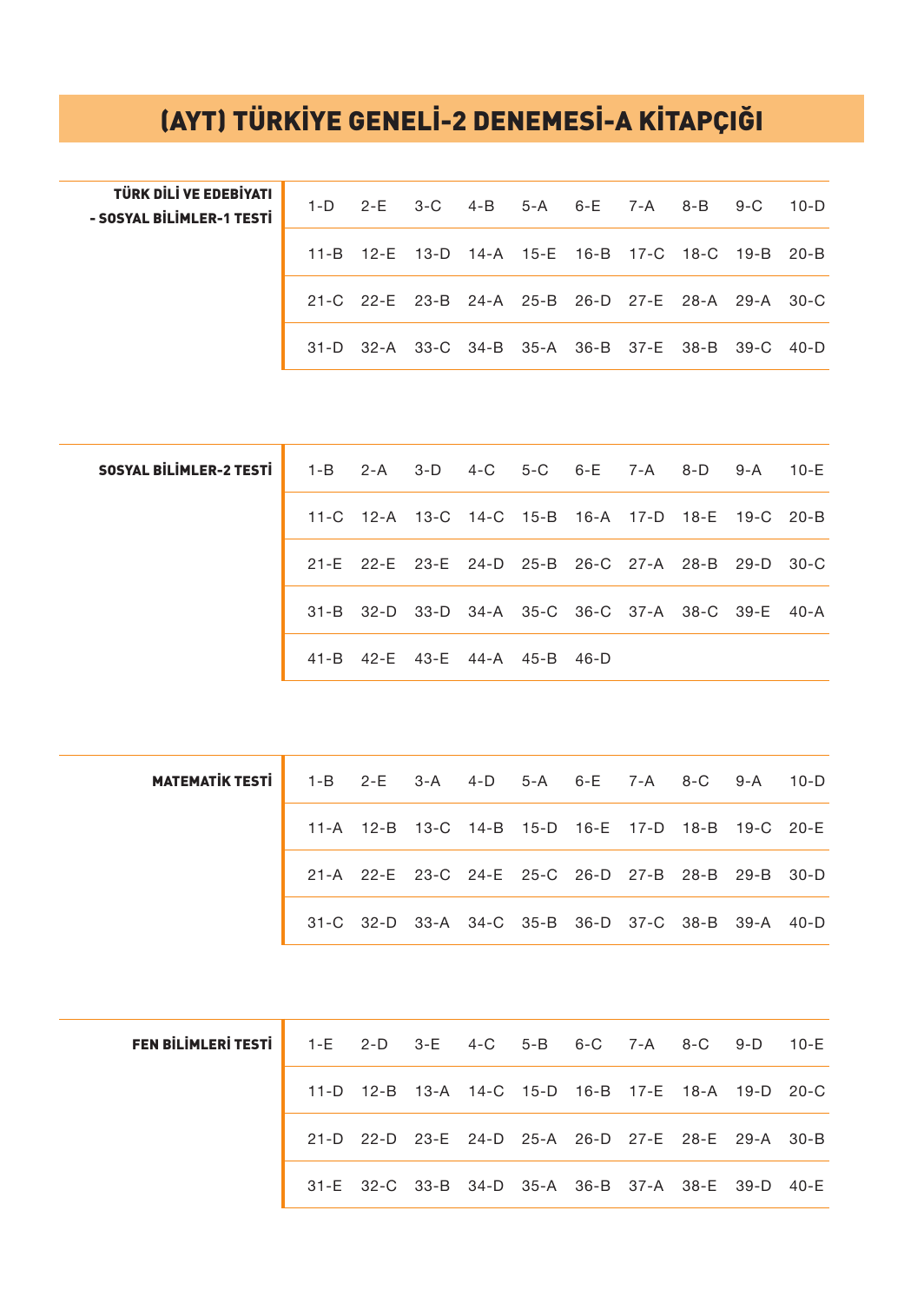## (AYT) TÜRKİYE GENELİ-2 DENEMESİ-A KİTAPÇIĞI

| TÜRK DİLİ VE EDEBİYATI<br>- SOSYAL BİLİMLER-1 TESTİ |  | 1-D 2-E 3-C 4-B 5-A 6-E 7-A 8-B 9-C 10-D          |  |  |  |  |
|-----------------------------------------------------|--|---------------------------------------------------|--|--|--|--|
|                                                     |  | 11-B 12-E 13-D 14-A 15-E 16-B 17-C 18-C 19-B 20-B |  |  |  |  |
|                                                     |  | 21-C 22-E 23-B 24-A 25-B 26-D 27-E 28-A 29-A 30-C |  |  |  |  |
|                                                     |  | 31-D 32-A 33-C 34-B 35-A 36-B 37-E 38-B 39-C 40-D |  |  |  |  |

| <b>SOSYAL BILIMLER-2 TESTI</b> 1-B 2-A 3-D 4-C 5-C 6-E 7-A 8-D 9-A 10-E |  |  |                               |  |                                                   |  |
|-------------------------------------------------------------------------|--|--|-------------------------------|--|---------------------------------------------------|--|
|                                                                         |  |  |                               |  | 11-C 12-A 13-C 14-C 15-B 16-A 17-D 18-E 19-C 20-B |  |
|                                                                         |  |  |                               |  | 21-E 22-E 23-E 24-D 25-B 26-C 27-A 28-B 29-D 30-C |  |
|                                                                         |  |  |                               |  | 31-B 32-D 33-D 34-A 35-C 36-C 37-A 38-C 39-E 40-A |  |
|                                                                         |  |  | 41-B 42-E 43-E 44-A 45-B 46-D |  |                                                   |  |

| <b>MATEMATIK TESTI</b> | 1-B 2-E 3-A 4-D 5-A 6-E 7-A 8-C 9-A 10-D |                                                   |  |  |  |  |
|------------------------|------------------------------------------|---------------------------------------------------|--|--|--|--|
|                        |                                          | 11-A 12-B 13-C 14-B 15-D 16-E 17-D 18-B 19-C 20-E |  |  |  |  |
|                        |                                          | 21-A 22-E 23-C 24-E 25-C 26-D 27-B 28-B 29-B 30-D |  |  |  |  |
|                        |                                          | 31-C 32-D 33-A 34-C 35-B 36-D 37-C 38-B 39-A 40-D |  |  |  |  |

| FEN BİLİMLERİ TESTİ   1-E 2-D 3-E 4-C 5-B 6-C 7-A 8-C 9-D 10-E |  |  |  |  |                                                   |  |
|----------------------------------------------------------------|--|--|--|--|---------------------------------------------------|--|
|                                                                |  |  |  |  | 11-D 12-B 13-A 14-C 15-D 16-B 17-E 18-A 19-D 20-C |  |
|                                                                |  |  |  |  | 21-D 22-D 23-E 24-D 25-A 26-D 27-E 28-E 29-A 30-B |  |
|                                                                |  |  |  |  | 31-E 32-C 33-B 34-D 35-A 36-B 37-A 38-E 39-D 40-E |  |